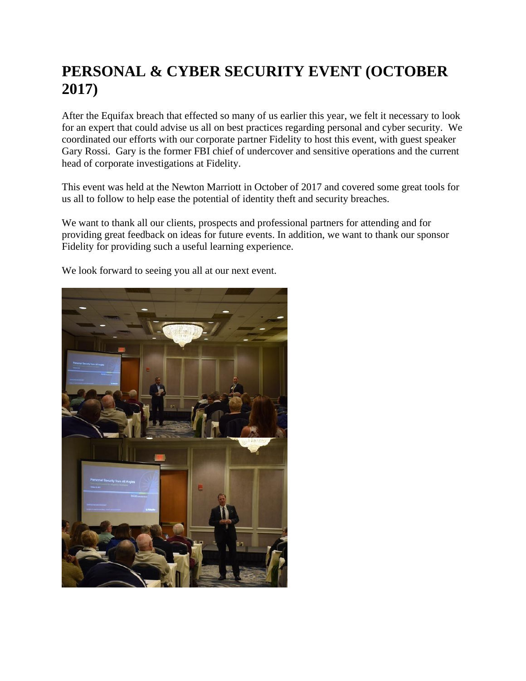## **PERSONAL & CYBER SECURITY EVENT (OCTOBER 2017)**

After the Equifax breach that effected so many of us earlier this year, we felt it necessary to look for an expert that could advise us all on best practices regarding personal and cyber security. We coordinated our efforts with our corporate partner Fidelity to host this event, with guest speaker Gary Rossi. Gary is the former FBI chief of undercover and sensitive operations and the current head of corporate investigations at Fidelity.

This event was held at the Newton Marriott in October of 2017 and covered some great tools for us all to follow to help ease the potential of identity theft and security breaches.

We want to thank all our clients, prospects and professional partners for attending and for providing great feedback on ideas for future events. In addition, we want to thank our sponsor Fidelity for providing such a useful learning experience.



We look forward to seeing you all at our next event.